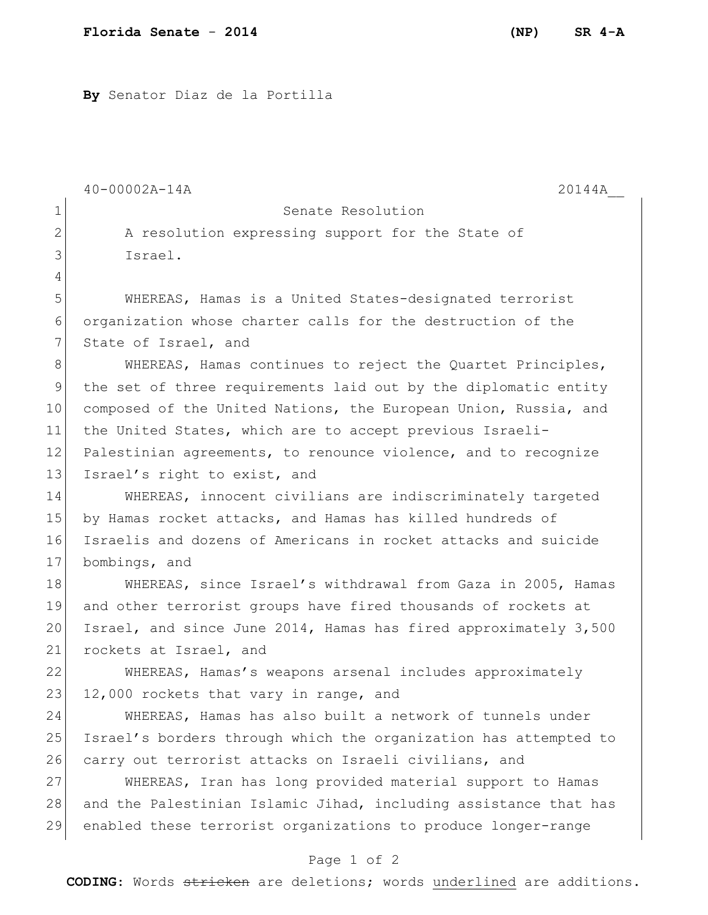**By** Senator Diaz de la Portilla

40-00002A-14A 20144A\_\_ Page 1 of 2 1 Senate Resolution 2 A resolution expressing support for the State of 3 Israel. 4 5 WHEREAS, Hamas is a United States-designated terrorist 6 organization whose charter calls for the destruction of the 7 State of Israel, and 8 WHEREAS, Hamas continues to reject the Quartet Principles, 9 the set of three requirements laid out by the diplomatic entity 10 composed of the United Nations, the European Union, Russia, and 11 the United States, which are to accept previous Israeli-12 Palestinian agreements, to renounce violence, and to recognize 13 Israel's right to exist, and 14 WHEREAS, innocent civilians are indiscriminately targeted 15 by Hamas rocket attacks, and Hamas has killed hundreds of 16 Israelis and dozens of Americans in rocket attacks and suicide 17 bombings, and 18 WHEREAS, since Israel's withdrawal from Gaza in 2005, Hamas 19 and other terrorist groups have fired thousands of rockets at 20 Israel, and since June 2014, Hamas has fired approximately 3,500 21 rockets at Israel, and 22 WHEREAS, Hamas's weapons arsenal includes approximately 23 12,000 rockets that vary in range, and 24 WHEREAS, Hamas has also built a network of tunnels under 25 Israel's borders through which the organization has attempted to 26 carry out terrorist attacks on Israeli civilians, and 27 WHEREAS, Iran has long provided material support to Hamas 28 and the Palestinian Islamic Jihad, including assistance that has 29 enabled these terrorist organizations to produce longer-range

**CODING**: Words stricken are deletions; words underlined are additions.